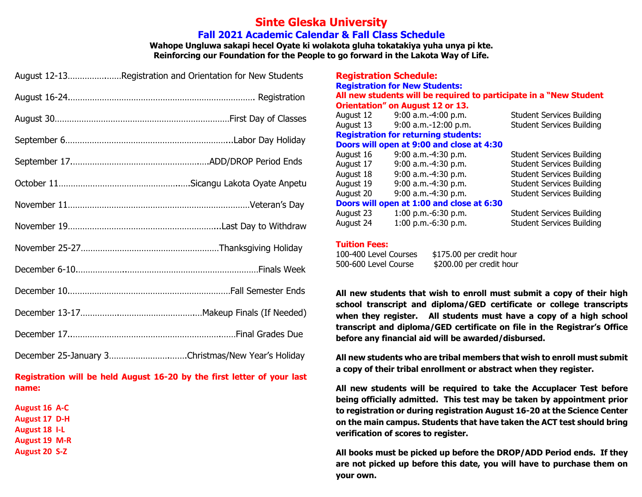#### **Sinte Gleska University Fall 2021 Academic Calendar & Fall Class Schedule**

**Wahope Ungluwa sakapi hecel Oyate ki wolakota gluha tokatakiya yuha unya pi kte. Reinforcing our Foundation for the People to go forward in the Lakota Way of Life.**

| August 12-13Registration and Orientation for New Students |
|-----------------------------------------------------------|
|                                                           |
|                                                           |
|                                                           |
|                                                           |
|                                                           |
|                                                           |
|                                                           |
|                                                           |
|                                                           |
|                                                           |
|                                                           |
|                                                           |
| December 25-January 3Christmas/New Year's Holiday         |

#### **Registration will be held August 16-20 by the first letter of your last name:**

**August 16 A-C August 17 D-H August 18 I-L August 19 M-R August 20 S-Z**

|           | <b>Registration Schedule:</b>               |                                                                     |
|-----------|---------------------------------------------|---------------------------------------------------------------------|
|           | <b>Registration for New Students:</b>       |                                                                     |
|           |                                             | All new students will be required to participate in a "New Student" |
|           | <b>Orientation" on August 12 or 13.</b>     |                                                                     |
|           | August 12 9:00 a.m.-4:00 p.m.               | <b>Student Services Building</b>                                    |
| August 13 | $9:00$ a.m.-12:00 p.m.                      | <b>Student Services Building</b>                                    |
|           | <b>Registration for returning students:</b> |                                                                     |
|           | Doors will open at 9:00 and close at 4:30   |                                                                     |
| August 16 | 9:00 a.m.-4:30 p.m.                         | <b>Student Services Building</b>                                    |
| August 17 | 9:00 a.m.-4:30 p.m.                         | <b>Student Services Building</b>                                    |
| August 18 | $9:00$ a.m.-4:30 p.m.                       | <b>Student Services Building</b>                                    |
| August 19 | $9:00$ a.m.-4:30 p.m.                       | <b>Student Services Building</b>                                    |
| August 20 | 9:00 a.m.-4:30 p.m.                         | <b>Student Services Building</b>                                    |
|           | Doors will open at 1:00 and close at 6:30   |                                                                     |
| August 23 | $1:00$ p.m.-6:30 p.m.                       | <b>Student Services Building</b>                                    |
| August 24 | 1:00 p.m.-6:30 p.m.                         | <b>Student Services Building</b>                                    |

#### **Tuition Fees:**

**Registration Schedule:**

| 100-400 Level Courses | \$175.00 per credit hour |
|-----------------------|--------------------------|
| 500-600 Level Course  | \$200.00 per credit hour |

**All new students that wish to enroll must submit a copy of their high school transcript and diploma/GED certificate or college transcripts when they register. All students must have a copy of a high school transcript and diploma/GED certificate on file in the Registrar's Office before any financial aid will be awarded/disbursed.** 

**All new students who are tribal members that wish to enroll must submit a copy of their tribal enrollment or abstract when they register.**

**All new students will be required to take the Accuplacer Test before being officially admitted. This test may be taken by appointment prior to registration or during registration August 16-20 at the Science Center on the main campus. Students that have taken the ACT test should bring verification of scores to register.**

**All books must be picked up before the DROP/ADD Period ends. If they are not picked up before this date, you will have to purchase them on your own.**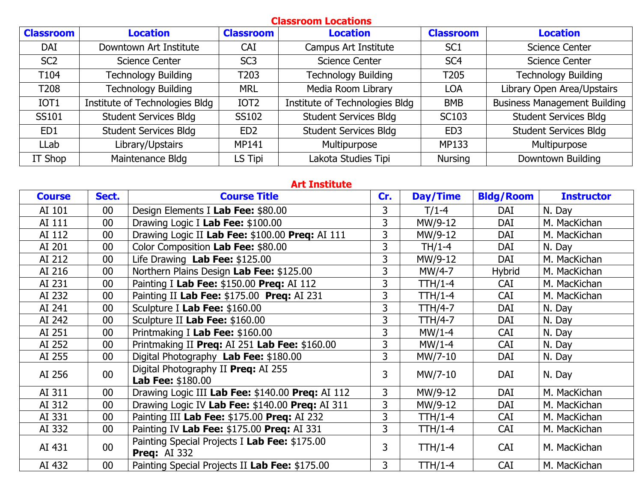| <b>Classroom Locations</b> |                                |                  |                                |                  |                                     |  |  |  |  |  |
|----------------------------|--------------------------------|------------------|--------------------------------|------------------|-------------------------------------|--|--|--|--|--|
| <b>Classroom</b>           | <b>Location</b>                | <b>Classroom</b> | <b>Location</b>                | <b>Classroom</b> | <b>Location</b>                     |  |  |  |  |  |
| DAI                        | Downtown Art Institute         | <b>CAI</b>       | Campus Art Institute           | SC <sub>1</sub>  | Science Center                      |  |  |  |  |  |
| SC <sub>2</sub>            | <b>Science Center</b>          | SC <sub>3</sub>  | <b>Science Center</b>          | SC <sub>4</sub>  | <b>Science Center</b>               |  |  |  |  |  |
| T <sub>104</sub>           | <b>Technology Building</b>     | T <sub>203</sub> | <b>Technology Building</b>     | T <sub>205</sub> | <b>Technology Building</b>          |  |  |  |  |  |
| T208                       | <b>Technology Building</b>     | <b>MRL</b>       | Media Room Library             | <b>LOA</b>       | Library Open Area/Upstairs          |  |  |  |  |  |
| IOT <sub>1</sub>           | Institute of Technologies Bldg | IOT <sub>2</sub> | Institute of Technologies Bldg | <b>BMB</b>       | <b>Business Management Building</b> |  |  |  |  |  |
| SS101                      | <b>Student Services Bldg</b>   | SS102            | <b>Student Services Bldg</b>   | <b>SC103</b>     | <b>Student Services Bldg</b>        |  |  |  |  |  |
| ED1                        | <b>Student Services Bldg</b>   | ED <sub>2</sub>  | <b>Student Services Bldg</b>   | ED <sub>3</sub>  | <b>Student Services Bldg</b>        |  |  |  |  |  |
| LLab                       | Library/Upstairs               | <b>MP141</b>     | Multipurpose                   | MP133            | Multipurpose                        |  |  |  |  |  |
| IT Shop                    | Maintenance Bldg               | LS Tipi          | Lakota Studies Tipi            | <b>Nursing</b>   | Downtown Building                   |  |  |  |  |  |

#### **Art Institute**

| <b>Course</b> | Sect.           | <b>Course Title</b>                                                  | Cr. | Day/Time       | <b>Bldg/Room</b> | <b>Instructor</b> |
|---------------|-----------------|----------------------------------------------------------------------|-----|----------------|------------------|-------------------|
| AI 101        | $00\,$          | Design Elements I Lab Fee: \$80.00                                   | 3   | $T/1-4$        | DAI              | N. Day            |
| AI 111        | $00\,$          | Drawing Logic I Lab Fee: \$100.00                                    | 3   | MW/9-12        | DAI              | M. MacKichan      |
| AI 112        | 00              | Drawing Logic II Lab Fee: \$100.00 Preq: AI 111                      | 3   | MW/9-12        | DAI              | M. MacKichan      |
| AI 201        | $00\,$          | Color Composition Lab Fee: \$80.00                                   | 3   | TH/1-4         | DAI              | N. Day            |
| AI 212        | $00\,$          | Life Drawing Lab Fee: \$125.00                                       | 3   | MW/9-12        | DAI              | M. MacKichan      |
| AI 216        | $00\,$          | Northern Plains Design Lab Fee: \$125.00                             | 3   | $MW/4-7$       | <b>Hybrid</b>    | M. MacKichan      |
| AI 231        | $00\,$          | Painting I Lab Fee: \$150.00 Preq: AI 112                            | 3   | TTH/1-4        | <b>CAI</b>       | M. MacKichan      |
| AI 232        | 00              | Painting II Lab Fee: \$175.00 Preq: AI 231                           | 3   | <b>TTH/1-4</b> | <b>CAI</b>       | M. MacKichan      |
| AI 241        | $00\,$          | Sculpture I Lab Fee: \$160.00                                        | 3   | TTH/4-7        | DAI              | N. Day            |
| AI 242        | $00\,$          | Sculpture II Lab Fee: \$160.00                                       | 3   | TTH/4-7        | DAI              | N. Day            |
| AI 251        | $00\,$          | Printmaking I Lab Fee: \$160.00                                      | 3   | $MW/1-4$       | <b>CAI</b>       | N. Day            |
| AI 252        | $00\,$          | Printmaking II Preq: AI 251 Lab Fee: \$160.00                        | 3   | $MW/1-4$       | <b>CAI</b>       | N. Day            |
| AI 255        | $00\,$          | Digital Photography Lab Fee: \$180.00                                | 3   | MW/7-10        | <b>DAI</b>       | N. Day            |
| AI 256        | $00\,$          | Digital Photography II Preq: AI 255<br>Lab Fee: \$180.00             | 3   | MW/7-10        | DAI              | N. Day            |
| AI 311        | $00\,$          | Drawing Logic III Lab Fee: \$140.00 Preq: AI 112                     | 3   | MW/9-12        | <b>DAI</b>       | M. MacKichan      |
| AI 312        | $00\,$          | Drawing Logic IV Lab Fee: \$140.00 Preq: AI 311                      | 3   | MW/9-12        | DAI              | M. MacKichan      |
| AI 331        | $00\,$          | Painting III Lab Fee: \$175.00 Preq: AI 232                          | 3   | <b>TTH/1-4</b> | <b>CAI</b>       | M. MacKichan      |
| AI 332        | $00\,$          | Painting IV Lab Fee: \$175.00 Preq: AI 331                           | 3   | TTH/1-4        | <b>CAI</b>       | M. MacKichan      |
| AI 431        | $00\,$          | Painting Special Projects I Lab Fee: \$175.00<br><b>Preq: AI 332</b> | 3   | $TH/1-4$       | <b>CAI</b>       | M. MacKichan      |
| AI 432        | 00 <sub>0</sub> | Painting Special Projects II Lab Fee: \$175.00                       | 3   | <b>TTH/1-4</b> | <b>CAI</b>       | M. MacKichan      |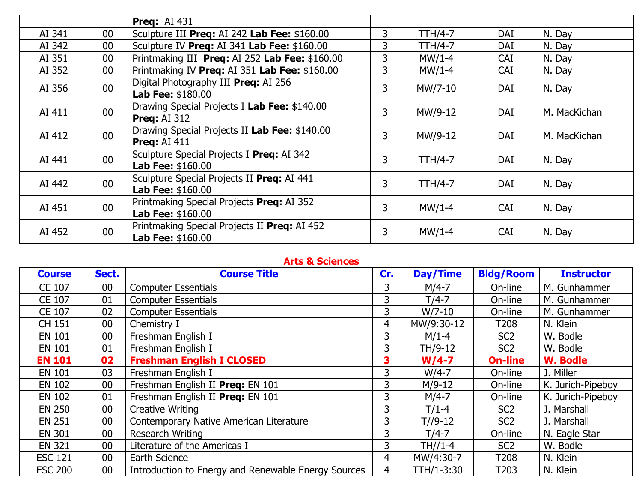|        |        | <b>Preg: AI 431</b>                                                    |   |                |            |              |
|--------|--------|------------------------------------------------------------------------|---|----------------|------------|--------------|
| AI 341 | $00\,$ | Sculpture III Preq: AI 242 Lab Fee: \$160.00                           | 3 | <b>TTH/4-7</b> | <b>DAI</b> | N. Day       |
| AI 342 | $00\,$ | Sculpture IV Preq: AI 341 Lab Fee: \$160.00                            | 3 | TTH/4-7        | DAI        | N. Day       |
| AI 351 | $00\,$ | Printmaking III Preq: AI 252 Lab Fee: \$160.00                         | 3 | $MW/1-4$       | <b>CAI</b> | N. Day       |
| AI 352 | $00\,$ | Printmaking IV Preq: AI 351 Lab Fee: \$160.00                          | 3 | $MW/1-4$       | <b>CAI</b> | N. Day       |
| AI 356 | $00\,$ | Digital Photography III Preg: AI 256<br><b>Lab Fee: \$180.00</b>       | 3 | MW/7-10        | <b>DAI</b> | N. Day       |
| AI 411 | 00     | Drawing Special Projects I Lab Fee: \$140.00<br><b>Preg: AI 312</b>    | 3 | MW/9-12        | DAI        | M. MacKichan |
| AI 412 | $00\,$ | Drawing Special Projects II Lab Fee: \$140.00<br><b>Preg: AI 411</b>   | 3 | MW/9-12        | DAI        | M. MacKichan |
| AI 441 | $00\,$ | Sculpture Special Projects I Preq: AI 342<br><b>Lab Fee: \$160.00</b>  | 3 | <b>TTH/4-7</b> | DAI        | N. Day       |
| AI 442 | $00\,$ | Sculpture Special Projects II Preq: AI 441<br><b>Lab Fee: \$160.00</b> | 3 | $TTH/4-7$      | DAI        | N. Day       |
| AI 451 | $00\,$ | Printmaking Special Projects Preq: AI 352<br><b>Lab Fee: \$160.00</b>  | 3 | $MW/1-4$       | <b>CAI</b> | N. Day       |
| AI 452 | $00\,$ | Printmaking Special Projects II Preq: AI 452<br>Lab Fee: \$160.00      | 3 | $MW/1-4$       | <b>CAI</b> | N. Day       |

#### **Arts & Sciences**

| <b>Course</b>  | Sect. | <b>Course Title</b>                                 | Cr. | Day/Time   | <b>Bldg/Room</b> | <b>Instructor</b> |
|----------------|-------|-----------------------------------------------------|-----|------------|------------------|-------------------|
| CE 107         | 00    | <b>Computer Essentials</b>                          | 3   | $M/4-7$    | On-line          | M. Gunhammer      |
| CE 107         | 01    | <b>Computer Essentials</b>                          | 3   | $T/4-7$    | On-line          | M. Gunhammer      |
| CE 107         | 02    | <b>Computer Essentials</b>                          | 3   | $W/7-10$   | On-line          | M. Gunhammer      |
| CH 151         | 00    | Chemistry I                                         | 4   | MW/9:30-12 | T <sub>208</sub> | N. Klein          |
| <b>EN 101</b>  | 00    | Freshman English I                                  | 3   | $M/1-4$    | SC <sub>2</sub>  | W. Bodle          |
| <b>EN 101</b>  | 01    | Freshman English I                                  | 3   | TH/9-12    | SC <sub>2</sub>  | W. Bodle          |
| <b>EN 101</b>  | 02    | <b>Freshman English I CLOSED</b>                    | 3   | $W/4-7$    | <b>On-line</b>   | <b>W. Bodle</b>   |
| <b>EN 101</b>  | 03    | Freshman English I                                  | 3   | $W/4-7$    | On-line          | J. Miller         |
| <b>EN 102</b>  | 00    | Freshman English II Preg: EN 101                    | 3   | $M/9-12$   | On-line          | K. Jurich-Pipeboy |
| <b>EN 102</b>  | 01    | Freshman English II Preq: EN 101                    | 3   | $M/4-7$    | On-line          | K. Jurich-Pipeboy |
| <b>EN 250</b>  | 00    | <b>Creative Writing</b>                             | 3   | $T/1-4$    | SC <sub>2</sub>  | J. Marshall       |
| <b>EN 251</b>  | 00    | Contemporary Native American Literature             | 3   | $T/9-12$   | SC <sub>2</sub>  | J. Marshall       |
| <b>EN 301</b>  | 00    | Research Writing                                    | 3   | $T/4-7$    | On-line          | N. Eagle Star     |
| <b>EN 321</b>  | 00    | Literature of the Americas I                        | 3   | TH//1-4    | SC <sub>2</sub>  | W. Bodle          |
| <b>ESC 121</b> | 00    | Earth Science                                       | 4   | MW/4:30-7  | T <sub>208</sub> | N. Klein          |
| <b>ESC 200</b> | 00    | Introduction to Energy and Renewable Energy Sources | 4   | TTH/1-3:30 | T203             | N. Klein          |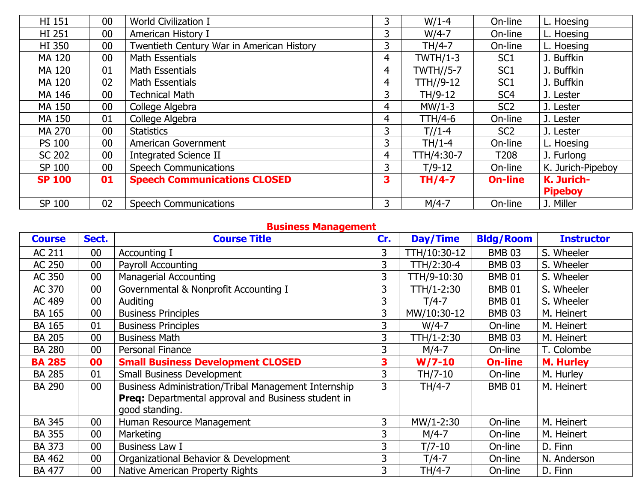| <b>HI 151</b> | 00     | <b>World Civilization I</b>               | 3              | $W/1-4$          | On-line          | L. Hoesing        |
|---------------|--------|-------------------------------------------|----------------|------------------|------------------|-------------------|
| <b>HI 251</b> | $00\,$ | American History I                        | 3              | $W/4-7$          | On-line          | L. Hoesing        |
| <b>HI 350</b> | $00\,$ | Twentieth Century War in American History | 3              | TH/4-7           | On-line          | L. Hoesing        |
| MA 120        | 00     | Math Essentials                           | 4              | $TWTH/1-3$       | SC <sub>1</sub>  | J. Buffkin        |
| MA 120        | 01     | Math Essentials                           | 4              | <b>TWTH//5-7</b> | SC <sub>1</sub>  | J. Buffkin        |
| <b>MA 120</b> | 02     | Math Essentials                           | $\overline{4}$ | TTH//9-12        | SC <sub>1</sub>  | J. Buffkin        |
| MA 146        | 00     | <b>Technical Math</b>                     | 3              | TH/9-12          | SC <sub>4</sub>  | J. Lester         |
| MA 150        | 00     | College Algebra                           | 4              | $MW/1-3$         | SC <sub>2</sub>  | J. Lester         |
| MA 150        | 01     | College Algebra                           | 4              | <b>TTH/4-6</b>   | On-line          | J. Lester         |
| <b>MA 270</b> | $00\,$ | <b>Statistics</b>                         | 3              | $T//1-4$         | SC <sub>2</sub>  | J. Lester         |
| <b>PS 100</b> | 00     | American Government                       | 3              | $TH/1-4$         | On-line          | L. Hoesing        |
| <b>SC 202</b> | $00\,$ | <b>Integrated Science II</b>              | 4              | TTH/4:30-7       | T <sub>208</sub> | J. Furlong        |
| SP 100        | $00\,$ | <b>Speech Communications</b>              | 3              | $T/9-12$         | On-line          | K. Jurich-Pipeboy |
| <b>SP 100</b> | 01     | <b>Speech Communications CLOSED</b>       | 3              | $TH/4-7$         | <b>On-line</b>   | K. Jurich-        |
|               |        |                                           |                |                  |                  | <b>Pipeboy</b>    |
| SP 100        | 02     | <b>Speech Communications</b>              | 3              | $M/4-7$          | On-line          | J. Miller         |

# **Business Management**

| <b>Course</b> | Sect.           | <b>Course Title</b>                                  | Cr. | Day/Time     | <b>Bldg/Room</b> | <b>Instructor</b> |
|---------------|-----------------|------------------------------------------------------|-----|--------------|------------------|-------------------|
| <b>AC 211</b> | 00              | Accounting I                                         | 3   | TTH/10:30-12 | <b>BMB 03</b>    | S. Wheeler        |
| AC 250        | 00              | Payroll Accounting                                   | 3   | TTH/2:30-4   | <b>BMB 03</b>    | S. Wheeler        |
| AC 350        | 00              | <b>Managerial Accounting</b>                         | 3   | TTH/9-10:30  | <b>BMB 01</b>    | S. Wheeler        |
| AC 370        | 00              | Governmental & Nonprofit Accounting I                | 3   | TTH/1-2:30   | <b>BMB 01</b>    | S. Wheeler        |
| AC 489        | 00              | Auditing                                             | 3   | $T/4-7$      | <b>BMB 01</b>    | S. Wheeler        |
| <b>BA 165</b> | 00              | <b>Business Principles</b>                           | 3   | MW/10:30-12  | <b>BMB 03</b>    | M. Heinert        |
| <b>BA 165</b> | 01              | <b>Business Principles</b>                           | 3   | $W/4-7$      | On-line          | M. Heinert        |
| <b>BA 205</b> | 00              | <b>Business Math</b>                                 | 3   | TTH/1-2:30   | <b>BMB 03</b>    | M. Heinert        |
| <b>BA 280</b> | 00              | Personal Finance                                     | 3   | $M/4-7$      | On-line          | T. Colombe        |
| <b>BA 285</b> | 00              | <b>Small Business Development CLOSED</b>             | 3   | $W/7-10$     | <b>On-line</b>   | <b>M. Hurley</b>  |
| <b>BA 285</b> | 01              | <b>Small Business Development</b>                    | 3   | TH/7-10      | On-line          | M. Hurley         |
| <b>BA 290</b> | 00 <sub>0</sub> | Business Administration/Tribal Management Internship | 3   | TH/4-7       | <b>BMB 01</b>    | M. Heinert        |
|               |                 | Preq: Departmental approval and Business student in  |     |              |                  |                   |
|               |                 | good standing.                                       |     |              |                  |                   |
| <b>BA 345</b> | 00              | Human Resource Management                            | 3   | MW/1-2:30    | On-line          | M. Heinert        |
| <b>BA 355</b> | 00              | Marketing                                            | 3   | $M/4-7$      | On-line          | M. Heinert        |
| <b>BA 373</b> | 00              | <b>Business Law I</b>                                | 3   | $T/7-10$     | On-line          | D. Finn           |
| <b>BA 462</b> | 00              | Organizational Behavior & Development                | 3   | $T/4-7$      | On-line          | N. Anderson       |
| <b>BA 477</b> | 00              | Native American Property Rights                      | 3   | TH/4-7       | On-line          | D. Finn           |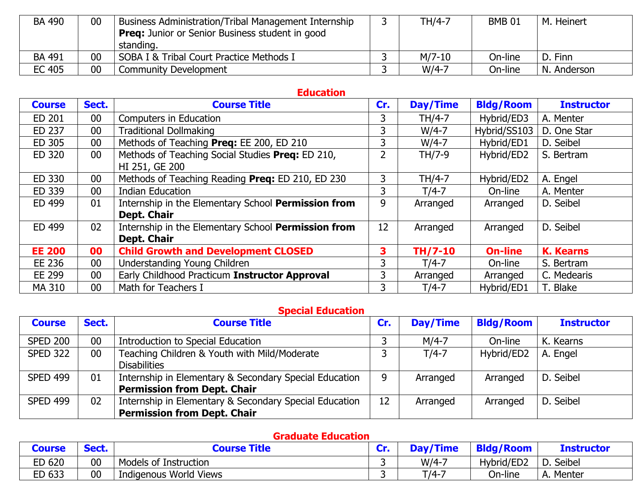| <b>BA 490</b> | 00 | <b>Business Administration/Tribal Management Internship</b><br><b>Preq:</b> Junior or Senior Business student in good<br>standing. | TH/4-7   | <b>BMB 01</b> | M. Heinert  |
|---------------|----|------------------------------------------------------------------------------------------------------------------------------------|----------|---------------|-------------|
| <b>BA 491</b> | 00 | SOBA I & Tribal Court Practice Methods I                                                                                           | $M/Z-10$ | On-line       | D. Finn     |
| EC 405        | 00 | Community Development                                                                                                              | $W/4-7$  | On-line       | N. Anderson |

#### **Education**

| <b>Course</b> | Sect.           | <b>Course Title</b>                                 | Cr. | Day/Time | <b>Bldg/Room</b> | <b>Instructor</b> |
|---------------|-----------------|-----------------------------------------------------|-----|----------|------------------|-------------------|
| ED 201        | 00 <sub>0</sub> | <b>Computers in Education</b>                       | 3   | TH/4-7   | Hybrid/ED3       | A. Menter         |
| ED 237        | 00 <sub>0</sub> | <b>Traditional Dollmaking</b>                       | 3   | $W/4-7$  | Hybrid/SS103     | D. One Star       |
| ED 305        | $00\,$          | Methods of Teaching Preq: EE 200, ED 210            | 3   | $W/4-7$  | Hybrid/ED1       | D. Seibel         |
| ED 320        | 00 <sub>0</sub> | Methods of Teaching Social Studies Preq: ED 210,    | 2   | TH/7-9   | Hybrid/ED2       | S. Bertram        |
|               |                 | HI 251, GE 200                                      |     |          |                  |                   |
| ED 330        | 00              | Methods of Teaching Reading Preq: ED 210, ED 230    | 3   | TH/4-7   | Hybrid/ED2       | A. Engel          |
| ED 339        | 00 <sub>0</sub> | <b>Indian Education</b>                             | 3   | $T/4-7$  | On-line          | A. Menter         |
| ED 499        | 01              | Internship in the Elementary School Permission from | 9   | Arranged | Arranged         | D. Seibel         |
|               |                 | Dept. Chair                                         |     |          |                  |                   |
| ED 499        | 02              | Internship in the Elementary School Permission from | 12  | Arranged | Arranged         | D. Seibel         |
|               |                 | <b>Dept. Chair</b>                                  |     |          |                  |                   |
| <b>EE 200</b> | 00              | <b>Child Growth and Development CLOSED</b>          | 3   | TH/7-10  | <b>On-line</b>   | <b>K. Kearns</b>  |
| EE 236        | 00 <sub>0</sub> | Understanding Young Children                        | 3   | $T/4-7$  | On-line          | S. Bertram        |
| EE 299        | 00              | Early Childhood Practicum Instructor Approval       | 3   | Arranged | Arranged         | C. Medearis       |
| <b>MA 310</b> | 00 <sup>°</sup> | Math for Teachers I                                 | 3   | $T/4-7$  | Hybrid/ED1       | T. Blake          |

#### **Special Education**

| <b>Course</b>   | Sect.           | <b>Course Title</b>                                    | Cr. | <b>Day/Time</b> | <b>Bldg/Room</b> | <b>Instructor</b> |
|-----------------|-----------------|--------------------------------------------------------|-----|-----------------|------------------|-------------------|
| <b>SPED 200</b> | 00              | Introduction to Special Education                      |     | $M/4-7$         | On-line          | K. Kearns         |
| <b>SPED 322</b> | 00 <sub>0</sub> | Teaching Children & Youth with Mild/Moderate           |     | $T/4-7$         | Hybrid/ED2       | A. Engel          |
|                 |                 | <b>Disabilities</b>                                    |     |                 |                  |                   |
| <b>SPED 499</b> | 01              | Internship in Elementary & Secondary Special Education | 9   | Arranged        | Arranged         | D. Seibel         |
|                 |                 | <b>Permission from Dept. Chair</b>                     |     |                 |                  |                   |
| <b>SPED 499</b> | 02              | Internship in Elementary & Secondary Special Education | 12  | Arranged        | Arranged         | D. Seibel         |
|                 |                 | <b>Permission from Dept. Chair</b>                     |     |                 |                  |                   |

#### **Graduate Education**

| Course | Sect. | <b>Course Title</b>    | Cr. | Day/Time | <b>Bldg/Room</b> | <b>Instructor</b> |
|--------|-------|------------------------|-----|----------|------------------|-------------------|
| ED 620 | 00    | Models of Instruction  |     | $W/4-7$  | Hybrid/ED2       | D. Seibel         |
| ED 633 | 00    | Indigenous World Views |     | $T/4-7$  | On-line          | A. Menter         |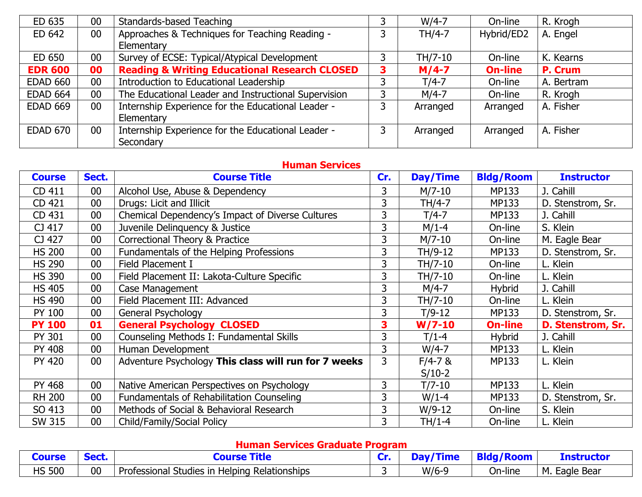| ED 635          | 00              | Standards-based Teaching                                 | 3 | $W/4-7$  | On-line        | R. Krogh   |
|-----------------|-----------------|----------------------------------------------------------|---|----------|----------------|------------|
| ED 642          | 00 <sub>0</sub> | Approaches & Techniques for Teaching Reading -           | ∍ | TH/4-7   | Hybrid/ED2     | A. Engel   |
|                 |                 | Elementary                                               |   |          |                |            |
| ED 650          | 00              | Survey of ECSE: Typical/Atypical Development             | 3 | TH/7-10  | On-line        | K. Kearns  |
| <b>EDR 600</b>  | 00              | <b>Reading &amp; Writing Educational Research CLOSED</b> | 3 | $M/4-7$  | <b>On-line</b> | P. Crum    |
| <b>EDAD 660</b> | 00              | Introduction to Educational Leadership                   |   | $T/4-7$  | On-line        | A. Bertram |
| <b>EDAD 664</b> | 00              | The Educational Leader and Instructional Supervision     | っ | $M/4-7$  | On-line        | R. Krogh   |
| <b>EDAD 669</b> | 00 <sub>0</sub> | Internship Experience for the Educational Leader -       | っ | Arranged | Arranged       | A. Fisher  |
|                 |                 | Elementary                                               |   |          |                |            |
| <b>EDAD 670</b> | 00 <sup>°</sup> | Internship Experience for the Educational Leader -       | 3 | Arranged | Arranged       | A. Fisher  |
|                 |                 | Secondary                                                |   |          |                |            |

#### **Human Services**

| <b>Course</b> | Sect.           | <b>Course Title</b>                                  | Cr. | Day/Time    | <b>Bldg/Room</b> | <b>Instructor</b> |
|---------------|-----------------|------------------------------------------------------|-----|-------------|------------------|-------------------|
| CD 411        | 00              | Alcohol Use, Abuse & Dependency                      | 3   | $M/7-10$    | MP133            | J. Cahill         |
| CD 421        | 00              | Drugs: Licit and Illicit                             | 3   | TH/4-7      | <b>MP133</b>     | D. Stenstrom, Sr. |
| CD 431        | 00              | Chemical Dependency's Impact of Diverse Cultures     | 3   | $T/4-7$     | MP133            | J. Cahill         |
| CJ 417        | 00              | Juvenile Delinquency & Justice                       | 3   | $M/1-4$     | On-line          | S. Klein          |
| CJ 427        | $00\,$          | Correctional Theory & Practice                       | 3   | $M/7-10$    | On-line          | M. Eagle Bear     |
| <b>HS 200</b> | $00\,$          | Fundamentals of the Helping Professions              | 3   | TH/9-12     | MP133            | D. Stenstrom, Sr. |
| <b>HS 290</b> | $00\,$          | Field Placement I                                    | 3   | TH/7-10     | On-line          | L. Klein          |
| <b>HS 390</b> | $00\,$          | Field Placement II: Lakota-Culture Specific          | 3   | TH/7-10     | On-line          | L. Klein          |
| <b>HS 405</b> | $00\,$          | Case Management                                      | 3   | $M/4-7$     | <b>Hybrid</b>    | J. Cahill         |
| <b>HS 490</b> | $00\,$          | Field Placement III: Advanced                        | 3   | TH/7-10     | On-line          | L. Klein          |
| PY 100        | $00\,$          | General Psychology                                   | 3   | $T/9-12$    | MP133            | D. Stenstrom, Sr. |
| <b>PY 100</b> | 01              | <b>General Psychology CLOSED</b>                     | 3   | $W/7-10$    | <b>On-line</b>   | D. Stenstrom, Sr. |
| PY 301        | $00\,$          | Counseling Methods I: Fundamental Skills             | 3   | $T/1-4$     | <b>Hybrid</b>    | J. Cahill         |
| <b>PY 408</b> | 00              | Human Development                                    | 3   | $W/4-7$     | MP133            | L. Klein          |
| <b>PY 420</b> | 00 <sub>0</sub> | Adventure Psychology This class will run for 7 weeks | 3   | $F/4 - 7$ & | MP133            | L. Klein          |
|               |                 |                                                      |     | $S/10-2$    |                  |                   |
| <b>PY 468</b> | 00              | Native American Perspectives on Psychology           | 3   | $T/7 - 10$  | <b>MP133</b>     | L. Klein          |
| <b>RH 200</b> | $00\,$          | Fundamentals of Rehabilitation Counseling            | 3   | $W/1-4$     | <b>MP133</b>     | D. Stenstrom, Sr. |
| SO 413        | 00              | Methods of Social & Behavioral Research              | 3   | $W/9-12$    | On-line          | S. Klein          |
| <b>SW 315</b> | 00              | Child/Family/Social Policy                           | 3   | $TH/1-4$    | On-line          | L. Klein          |

### **Human Services Graduate Program**

| ourse         | .  |                                                                      | ~⊷ |         | a / R<br><b>BL</b><br>koom | <u>fnstructor</u>     |
|---------------|----|----------------------------------------------------------------------|----|---------|----------------------------|-----------------------|
| <b>HS 500</b> | 00 | <b>Relationships</b><br>Professional '<br>; in Helping<br>studies in |    | $W/6-9$ | On-line                    | М.<br>: Bear<br>Eagle |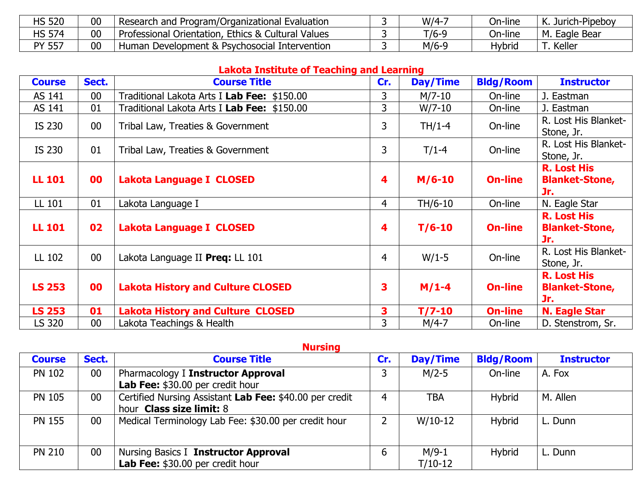| <b>HS 520</b> | 00 | <sup>1</sup> Research and Program/Organizational Evaluation | $W/4-7$ | On-line | Jurich-Pipeboy<br>V<br>N. |
|---------------|----|-------------------------------------------------------------|---------|---------|---------------------------|
| <b>HS 574</b> | 00 | Professional Orientation, Ethics & Cultural Values          | $T/6-9$ | On-line | Eagle Bear<br>M.          |
| PY 557        | 00 | Development & Psychosocial Intervention<br>Human            | $M/6-9$ | Hybria  | Keller                    |

# **Lakota Institute of Teaching and Learning**

| <b>Course</b> | Sect.           | <b>Course Title</b>                         | Cr.            | Day/Time | <b>Bldg/Room</b> | <b>Instructor</b>                                  |
|---------------|-----------------|---------------------------------------------|----------------|----------|------------------|----------------------------------------------------|
| AS 141        | 00              | Traditional Lakota Arts I Lab Fee: \$150.00 | 3              | $M/7-10$ | On-line          | J. Eastman                                         |
| AS 141        | 01              | Traditional Lakota Arts I Lab Fee: \$150.00 | 3              | $W/7-10$ | On-line          | J. Eastman                                         |
| IS 230        | 00 <sub>0</sub> | Tribal Law, Treaties & Government           | 3              | $TH/1-4$ | On-line          | R. Lost His Blanket-<br>Stone, Jr.                 |
| IS 230        | 01              | Tribal Law, Treaties & Government           | 3              | $T/1-4$  | On-line          | R. Lost His Blanket-<br>Stone, Jr.                 |
| <b>LL 101</b> | 00              | <b>Lakota Language I CLOSED</b>             | 4              | $M/6-10$ | <b>On-line</b>   | <b>R. Lost His</b><br><b>Blanket-Stone,</b><br>Jr. |
| LL 101        | 01              | Lakota Language I                           | $\overline{4}$ | TH/6-10  | On-line          | N. Eagle Star                                      |
| <b>LL 101</b> | 02              | Lakota Language I CLOSED                    | 4              | $T/6-10$ | <b>On-line</b>   | <b>R. Lost His</b><br><b>Blanket-Stone,</b><br>Jr. |
| LL 102        | 00 <sub>0</sub> | Lakota Language II Preq: LL 101             | $\overline{4}$ | $W/1-5$  | On-line          | R. Lost His Blanket-<br>Stone, Jr.                 |
| <b>LS 253</b> | 00              | <b>Lakota History and Culture CLOSED</b>    | 3              | $M/1-4$  | <b>On-line</b>   | <b>R. Lost His</b><br><b>Blanket-Stone,</b><br>Jr. |
| <b>LS 253</b> | 01              | <b>Lakota History and Culture CLOSED</b>    | 3              | $T/7-10$ | <b>On-line</b>   | <b>N. Eagle Star</b>                               |
| LS 320        | 00              | Lakota Teachings & Health                   | 3              | $M/4-7$  | On-line          | D. Stenstrom, Sr.                                  |

| <b>Nursing</b> |       |                                                                                     |     |                      |                  |                   |  |  |
|----------------|-------|-------------------------------------------------------------------------------------|-----|----------------------|------------------|-------------------|--|--|
| <b>Course</b>  | Sect. | <b>Course Title</b>                                                                 | Cr. | Day/Time             | <b>Bldg/Room</b> | <b>Instructor</b> |  |  |
| <b>PN 102</b>  | 00    | Pharmacology I Instructor Approval<br>Lab Fee: \$30.00 per credit hour              |     | $M/2-5$              | On-line          | A. Fox            |  |  |
| <b>PN 105</b>  | 00    | Certified Nursing Assistant Lab Fee: \$40.00 per credit<br>hour Class size limit: 8 | 4   | TBA                  | Hybrid           | M. Allen          |  |  |
| <b>PN 155</b>  | 00    | Medical Terminology Lab Fee: \$30.00 per credit hour                                |     | $W/10-12$            | <b>Hybrid</b>    | L. Dunn           |  |  |
| <b>PN 210</b>  | 00    | Nursing Basics I Instructor Approval<br>Lab Fee: \$30.00 per credit hour            | 6   | $M/9-1$<br>$T/10-12$ | <b>Hybrid</b>    | L. Dunn           |  |  |